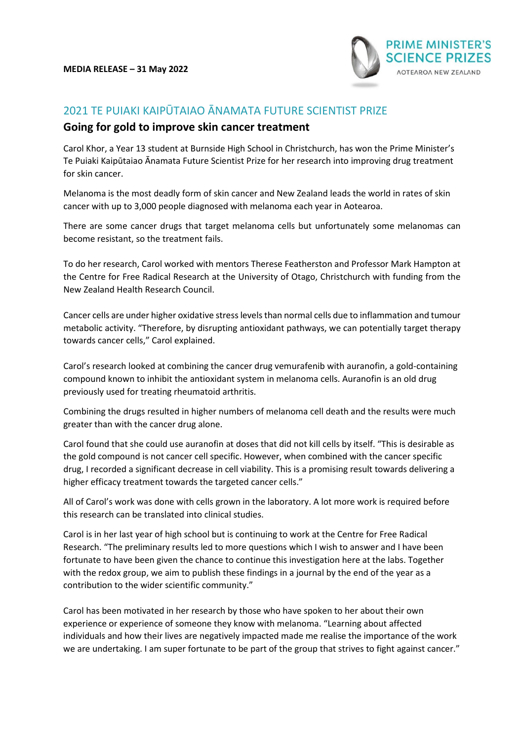

## 2021 TE PUIAKI KAIPŪTAIAO ĀNAMATA FUTURE SCIENTIST PRIZE

## **Going for gold to improve skin cancer treatment**

Carol Khor, a Year 13 student at Burnside High School in Christchurch, has won the Prime Minister's Te Puiaki Kaipūtaiao Ānamata Future Scientist Prize for her research into improving drug treatment for skin cancer.

Melanoma is the most deadly form of skin cancer and New Zealand leads the world in rates of skin cancer with up to 3,000 people diagnosed with melanoma each year in Aotearoa.

There are some cancer drugs that target melanoma cells but unfortunately some melanomas can become resistant, so the treatment fails.

To do her research, Carol worked with mentors Therese Featherston and Professor Mark Hampton at the Centre for Free Radical Research at the University of Otago, Christchurch with funding from the New Zealand Health Research Council.

Cancer cells are under higher oxidative stress levels than normal cells due to inflammation and tumour metabolic activity. "Therefore, by disrupting antioxidant pathways, we can potentially target therapy towards cancer cells," Carol explained.

Carol's research looked at combining the cancer drug vemurafenib with auranofin, a gold-containing compound known to inhibit the antioxidant system in melanoma cells. Auranofin is an old drug previously used for treating rheumatoid arthritis.

Combining the drugs resulted in higher numbers of melanoma cell death and the results were much greater than with the cancer drug alone.

Carol found that she could use auranofin at doses that did not kill cells by itself. "This is desirable as the gold compound is not cancer cell specific. However, when combined with the cancer specific drug, I recorded a significant decrease in cell viability. This is a promising result towards delivering a higher efficacy treatment towards the targeted cancer cells."

All of Carol's work was done with cells grown in the laboratory. A lot more work is required before this research can be translated into clinical studies.

Carol is in her last year of high school but is continuing to work at the Centre for Free Radical Research. "The preliminary results led to more questions which I wish to answer and I have been fortunate to have been given the chance to continue this investigation here at the labs. Together with the redox group, we aim to publish these findings in a journal by the end of the year as a contribution to the wider scientific community."

Carol has been motivated in her research by those who have spoken to her about their own experience or experience of someone they know with melanoma. "Learning about affected individuals and how their lives are negatively impacted made me realise the importance of the work we are undertaking. I am super fortunate to be part of the group that strives to fight against cancer."